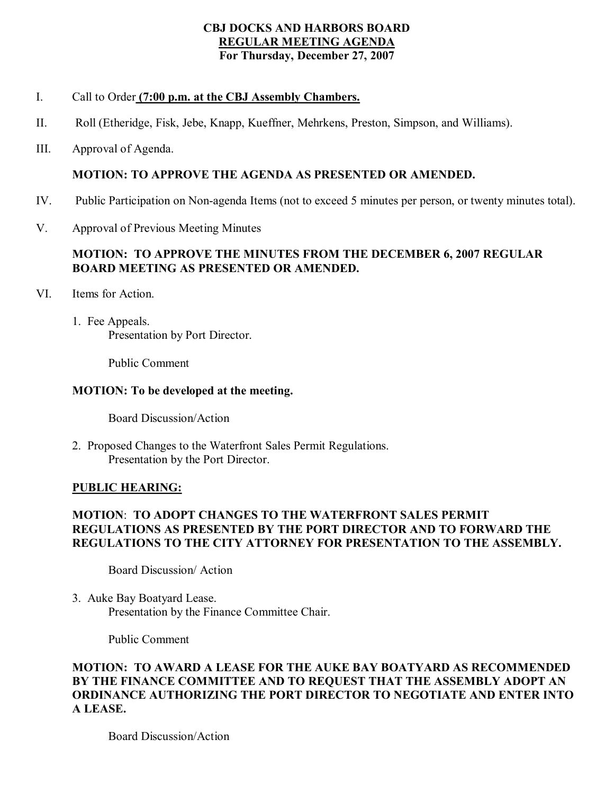### **CBJ DOCKS AND HARBORS BOARD REGULAR MEETING AGENDA For Thursday, December 27, 2007**

## I. Call to Order **(7:00 p.m. at the CBJ Assembly Chambers.**

- II. Roll (Etheridge, Fisk, Jebe, Knapp, Kueffner, Mehrkens, Preston, Simpson, and Williams).
- III. Approval of Agenda.

# **MOTION: TO APPROVE THE AGENDA AS PRESENTED OR AMENDED.**

- IV. Public Participation on Non-agenda Items (not to exceed 5 minutes per person, or twenty minutes total).
- V. Approval of Previous Meeting Minutes

# **MOTION: TO APPROVE THE MINUTES FROM THE DECEMBER 6, 2007 REGULAR BOARD MEETING AS PRESENTED OR AMENDED.**

- VI. Items for Action.
	- 1. Fee Appeals. Presentation by Port Director.

Public Comment

# **MOTION: To be developed at the meeting.**

Board Discussion/Action

2. Proposed Changes to the Waterfront Sales Permit Regulations. Presentation by the Port Director.

## **PUBLIC HEARING:**

## **MOTION**: **TO ADOPT CHANGES TO THE WATERFRONT SALES PERMIT REGULATIONS AS PRESENTED BY THE PORT DIRECTOR AND TO FORWARD THE REGULATIONS TO THE CITY ATTORNEY FOR PRESENTATION TO THE ASSEMBLY.**

Board Discussion/ Action

3. Auke Bay Boatyard Lease. Presentation by the Finance Committee Chair.

Public Comment

## **MOTION: TO AWARD A LEASE FOR THE AUKE BAY BOATYARD AS RECOMMENDED BY THE FINANCE COMMITTEE AND TO REQUEST THAT THE ASSEMBLY ADOPT AN ORDINANCE AUTHORIZING THE PORT DIRECTOR TO NEGOTIATE AND ENTER INTO A LEASE.**

Board Discussion/Action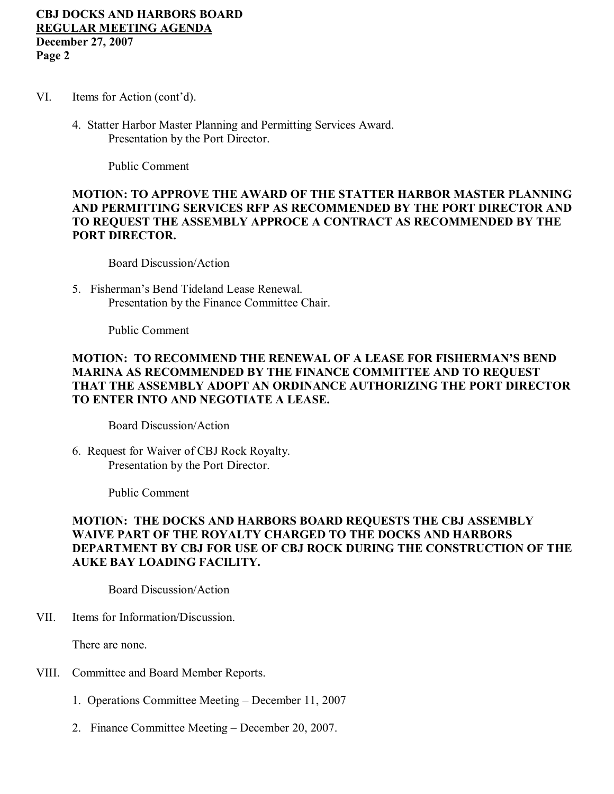### **CBJ DOCKS AND HARBORS BOARD REGULAR MEETING AGENDA December 27, 2007 Page 2**

- VI. Items for Action (cont'd).
	- 4. Statter Harbor Master Planning and Permitting Services Award. Presentation by the Port Director.

Public Comment

## **MOTION: TO APPROVE THE AWARD OF THE STATTER HARBOR MASTER PLANNING AND PERMITTING SERVICES RFP AS RECOMMENDED BY THE PORT DIRECTOR AND TO REQUEST THE ASSEMBLY APPROCE A CONTRACT AS RECOMMENDED BY THE PORT DIRECTOR.**

Board Discussion/Action

5. Fisherman's Bend Tideland Lease Renewal. Presentation by the Finance Committee Chair.

Public Comment

### **MOTION: TO RECOMMEND THE RENEWAL OF A LEASE FOR FISHERMAN'S BEND MARINA AS RECOMMENDED BY THE FINANCE COMMITTEE AND TO REQUEST THAT THE ASSEMBLY ADOPT AN ORDINANCE AUTHORIZING THE PORT DIRECTOR TO ENTER INTO AND NEGOTIATE A LEASE.**

Board Discussion/Action

6. Request for Waiver of CBJ Rock Royalty. Presentation by the Port Director.

Public Comment

## **MOTION: THE DOCKS AND HARBORS BOARD REQUESTS THE CBJ ASSEMBLY WAIVE PART OF THE ROYALTY CHARGED TO THE DOCKS AND HARBORS DEPARTMENT BY CBJ FOR USE OF CBJ ROCK DURING THE CONSTRUCTION OF THE AUKE BAY LOADING FACILITY.**

Board Discussion/Action

VII. Items for Information/Discussion.

There are none.

- VIII. Committee and Board Member Reports.
	- 1. Operations Committee Meeting December 11, 2007
	- 2. Finance Committee Meeting December 20, 2007.